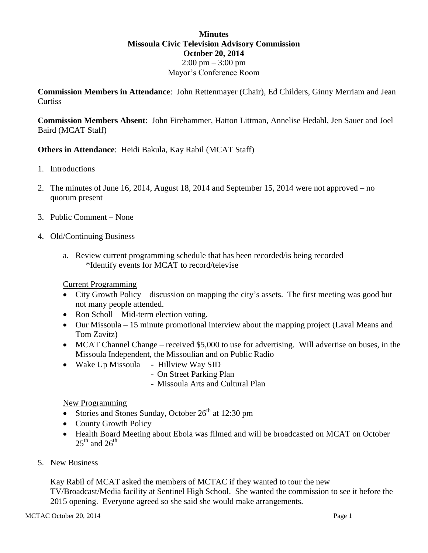## **Minutes Missoula Civic Television Advisory Commission October 20, 2014**  $2:00 \text{ pm} - 3:00 \text{ pm}$ Mayor's Conference Room

**Commission Members in Attendance**: John Rettenmayer (Chair), Ed Childers, Ginny Merriam and Jean **Curtiss** 

**Commission Members Absent**: John Firehammer, Hatton Littman, Annelise Hedahl, Jen Sauer and Joel Baird (MCAT Staff)

**Others in Attendance**: Heidi Bakula, Kay Rabil (MCAT Staff)

- 1. Introductions
- 2. The minutes of June 16, 2014, August 18, 2014 and September 15, 2014 were not approved no quorum present
- 3. Public Comment None
- 4. Old/Continuing Business
	- a. Review current programming schedule that has been recorded/is being recorded \*Identify events for MCAT to record/televise

Current Programming

- City Growth Policy discussion on mapping the city's assets. The first meeting was good but not many people attended.
- Ron Scholl Mid-term election voting.
- Our Missoula 15 minute promotional interview about the mapping project (Laval Means and Tom Zavitz)
- MCAT Channel Change received \$5,000 to use for advertising. Will advertise on buses, in the Missoula Independent, the Missoulian and on Public Radio
- Wake Up Missoula Hillview Way SID
	- On Street Parking Plan
	- Missoula Arts and Cultural Plan

## New Programming

- Stories and Stones Sunday, October  $26<sup>th</sup>$  at 12:30 pm
- County Growth Policy
- Health Board Meeting about Ebola was filmed and will be broadcasted on MCAT on October  $25^{th}$  and  $26^{th}$
- 5. New Business

Kay Rabil of MCAT asked the members of MCTAC if they wanted to tour the new TV/Broadcast/Media facility at Sentinel High School. She wanted the commission to see it before the 2015 opening. Everyone agreed so she said she would make arrangements.